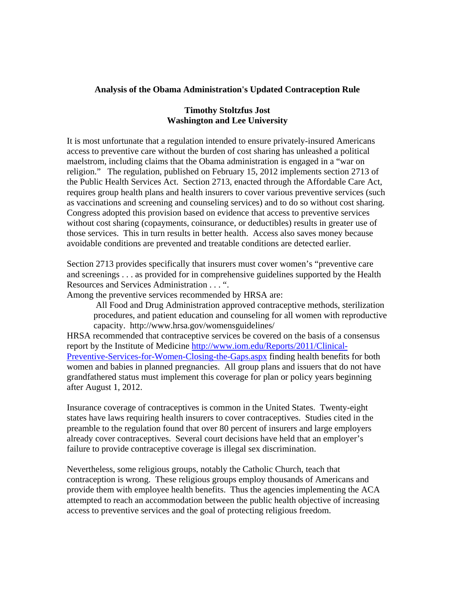## **Analysis of the Obama Administration's Updated Contraception Rule**

## **Timothy Stoltzfus Jost Washington and Lee University**

It is most unfortunate that a regulation intended to ensure privately-insured Americans access to preventive care without the burden of cost sharing has unleashed a political maelstrom, including claims that the Obama administration is engaged in a "war on religion." The regulation, published on February 15, 2012 implements section 2713 of the Public Health Services Act. Section 2713, enacted through the Affordable Care Act, requires group health plans and health insurers to cover various preventive services (such as vaccinations and screening and counseling services) and to do so without cost sharing. Congress adopted this provision based on evidence that access to preventive services without cost sharing (copayments, coinsurance, or deductibles) results in greater use of those services. This in turn results in better health. Access also saves money because avoidable conditions are prevented and treatable conditions are detected earlier.

Section 2713 provides specifically that insurers must cover women's "preventive care and screenings . . . as provided for in comprehensive guidelines supported by the Health Resources and Services Administration . . . ".

Among the preventive services recommended by HRSA are:

All Food and Drug Administration approved contraceptive methods, sterilization procedures, and patient education and counseling for all women with reproductive capacity. http://www.hrsa.gov/womensguidelines/

HRSA recommended that contraceptive services be covered on the basis of a consensus report by the Institute of Medicine http://www.iom.edu/Reports/2011/Clinical-Preventive-Services-for-Women-Closing-the-Gaps.aspx finding health benefits for both women and babies in planned pregnancies. All group plans and issuers that do not have grandfathered status must implement this coverage for plan or policy years beginning after August 1, 2012.

Insurance coverage of contraceptives is common in the United States. Twenty-eight states have laws requiring health insurers to cover contraceptives. Studies cited in the preamble to the regulation found that over 80 percent of insurers and large employers already cover contraceptives. Several court decisions have held that an employer's failure to provide contraceptive coverage is illegal sex discrimination.

Nevertheless, some religious groups, notably the Catholic Church, teach that contraception is wrong. These religious groups employ thousands of Americans and provide them with employee health benefits. Thus the agencies implementing the ACA attempted to reach an accommodation between the public health objective of increasing access to preventive services and the goal of protecting religious freedom.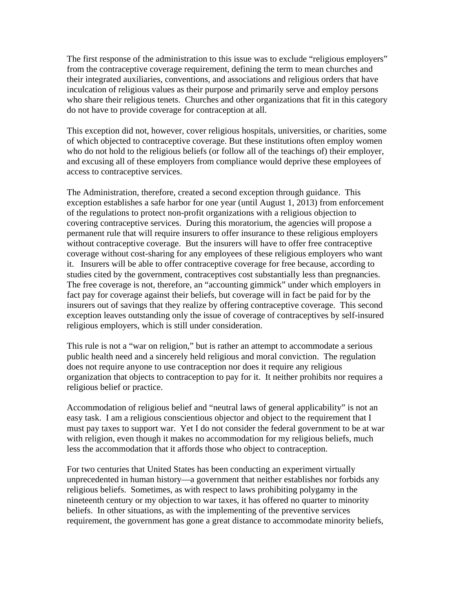The first response of the administration to this issue was to exclude "religious employers" from the contraceptive coverage requirement, defining the term to mean churches and their integrated auxiliaries, conventions, and associations and religious orders that have inculcation of religious values as their purpose and primarily serve and employ persons who share their religious tenets. Churches and other organizations that fit in this category do not have to provide coverage for contraception at all.

This exception did not, however, cover religious hospitals, universities, or charities, some of which objected to contraceptive coverage. But these institutions often employ women who do not hold to the religious beliefs (or follow all of the teachings of) their employer, and excusing all of these employers from compliance would deprive these employees of access to contraceptive services.

The Administration, therefore, created a second exception through guidance. This exception establishes a safe harbor for one year (until August 1, 2013) from enforcement of the regulations to protect non-profit organizations with a religious objection to covering contraceptive services. During this moratorium, the agencies will propose a permanent rule that will require insurers to offer insurance to these religious employers without contraceptive coverage. But the insurers will have to offer free contraceptive coverage without cost-sharing for any employees of these religious employers who want it. Insurers will be able to offer contraceptive coverage for free because, according to studies cited by the government, contraceptives cost substantially less than pregnancies. The free coverage is not, therefore, an "accounting gimmick" under which employers in fact pay for coverage against their beliefs, but coverage will in fact be paid for by the insurers out of savings that they realize by offering contraceptive coverage. This second exception leaves outstanding only the issue of coverage of contraceptives by self-insured religious employers, which is still under consideration.

This rule is not a "war on religion," but is rather an attempt to accommodate a serious public health need and a sincerely held religious and moral conviction. The regulation does not require anyone to use contraception nor does it require any religious organization that objects to contraception to pay for it. It neither prohibits nor requires a religious belief or practice.

Accommodation of religious belief and "neutral laws of general applicability" is not an easy task. I am a religious conscientious objector and object to the requirement that I must pay taxes to support war. Yet I do not consider the federal government to be at war with religion, even though it makes no accommodation for my religious beliefs, much less the accommodation that it affords those who object to contraception.

For two centuries that United States has been conducting an experiment virtually unprecedented in human history—a government that neither establishes nor forbids any religious beliefs. Sometimes, as with respect to laws prohibiting polygamy in the nineteenth century or my objection to war taxes, it has offered no quarter to minority beliefs. In other situations, as with the implementing of the preventive services requirement, the government has gone a great distance to accommodate minority beliefs,